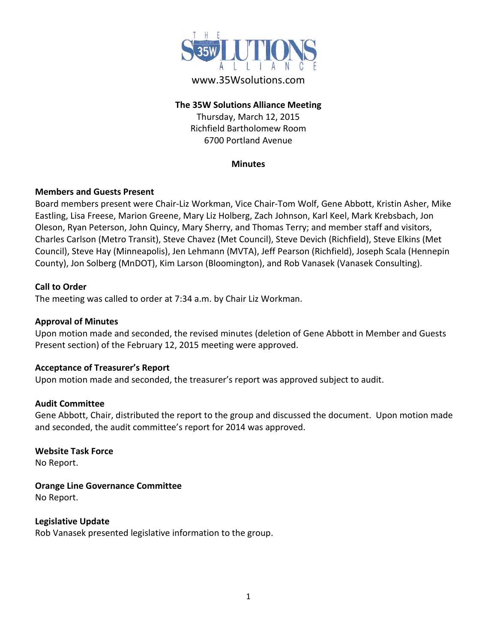

# www.35Wsolutions.com

## **The 35W Solutions Alliance Meeting**

Thursday, March 12, 2015 Richfield Bartholomew Room 6700 Portland Avenue

### **Minutes**

## **Members and Guests Present**

Board members present were Chair-Liz Workman, Vice Chair-Tom Wolf, Gene Abbott, Kristin Asher, Mike Eastling, Lisa Freese, Marion Greene, Mary Liz Holberg, Zach Johnson, Karl Keel, Mark Krebsbach, Jon Oleson, Ryan Peterson, John Quincy, Mary Sherry, and Thomas Terry; and member staff and visitors, Charles Carlson (Metro Transit), Steve Chavez (Met Council), Steve Devich (Richfield), Steve Elkins (Met Council), Steve Hay (Minneapolis), Jen Lehmann (MVTA), Jeff Pearson (Richfield), Joseph Scala (Hennepin County), Jon Solberg (MnDOT), Kim Larson (Bloomington), and Rob Vanasek (Vanasek Consulting).

## **Call to Order**

The meeting was called to order at 7:34 a.m. by Chair Liz Workman.

## **Approval of Minutes**

Upon motion made and seconded, the revised minutes (deletion of Gene Abbott in Member and Guests Present section) of the February 12, 2015 meeting were approved.

## **Acceptance of Treasurer's Report**

Upon motion made and seconded, the treasurer's report was approved subject to audit.

## **Audit Committee**

Gene Abbott, Chair, distributed the report to the group and discussed the document. Upon motion made and seconded, the audit committee's report for 2014 was approved.

# **Website Task Force**

No Report.

# **Orange Line Governance Committee**

No Report.

**Legislative Update**  Rob Vanasek presented legislative information to the group.